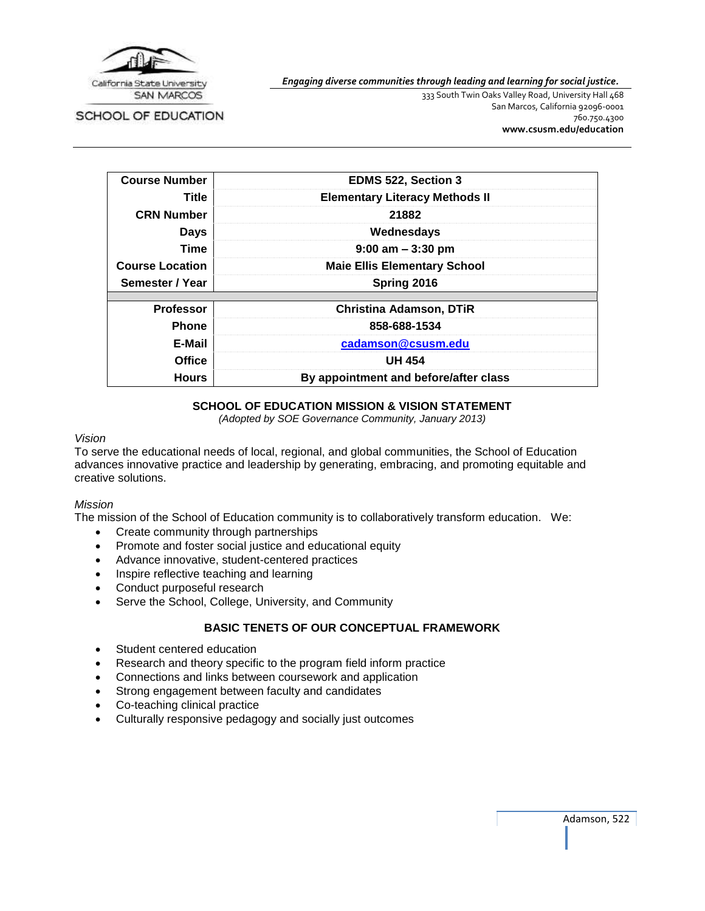

SCHOOL OF EDUCATION

*Engaging diverse communities through leading and learning for social justice.*

333 South Twin Oaks Valley Road, University Hall 468 San Marcos, California 92096-0001 760.750.4300 **[www.csusm.edu/education](http://www.csusm.edu/education)**

| <b>Course Number</b>   | <b>EDMS 522, Section 3</b>            |  |
|------------------------|---------------------------------------|--|
| Title                  | <b>Elementary Literacy Methods II</b> |  |
| <b>CRN Number</b>      | 21882                                 |  |
| <b>Days</b>            | Wednesdays                            |  |
| Time                   | $9:00$ am $-3:30$ pm                  |  |
| <b>Course Location</b> | <b>Maie Ellis Elementary School</b>   |  |
| Semester / Year        | Spring 2016                           |  |
|                        |                                       |  |
| <b>Professor</b>       | <b>Christina Adamson, DTIR</b>        |  |
| <b>Phone</b>           | 858-688-1534                          |  |
| E-Mail                 | cadamson@csusm.edu                    |  |
| <b>Office</b>          | <b>UH 454</b>                         |  |
| <b>Hours</b>           | By appointment and before/after class |  |

## **SCHOOL OF EDUCATION MISSION & VISION STATEMENT**

*(Adopted by SOE Governance Community, January 2013)*

#### *Vision*

To serve the educational needs of local, regional, and global communities, the School of Education advances innovative practice and leadership by generating, embracing, and promoting equitable and creative solutions.

#### *Mission*

The mission of the School of Education community is to collaboratively transform education. We:

- Create community through partnerships
- Promote and foster social justice and educational equity
- Advance innovative, student-centered practices
- Inspire reflective teaching and learning
- Conduct purposeful research
- Serve the School, College, University, and Community

### **BASIC TENETS OF OUR CONCEPTUAL FRAMEWORK**

- Student centered education
- Research and theory specific to the program field inform practice
- Connections and links between coursework and application
- Strong engagement between faculty and candidates
- Co-teaching clinical practice
- Culturally responsive pedagogy and socially just outcomes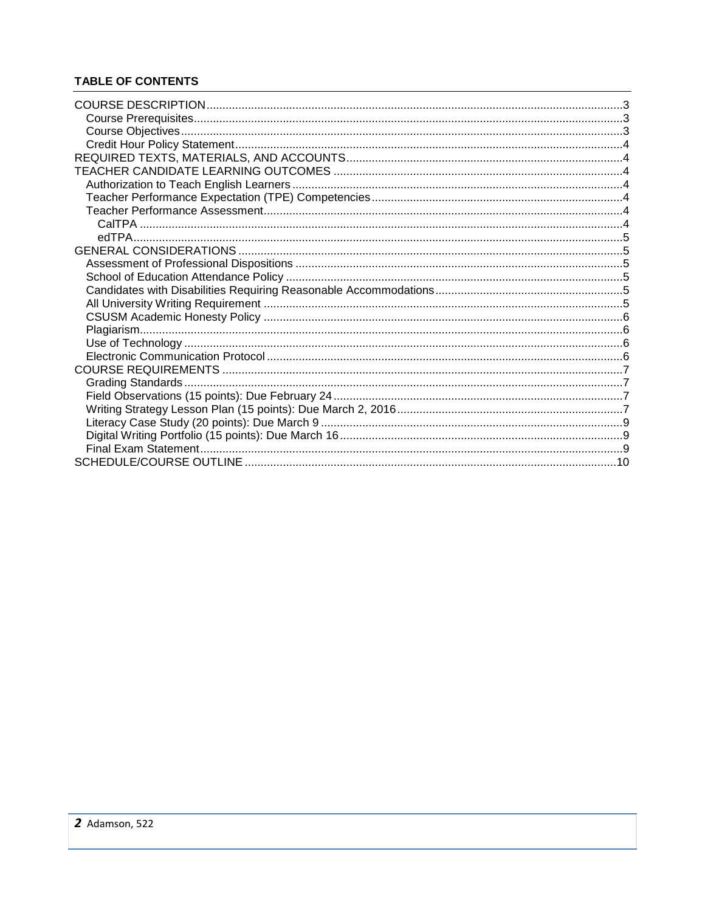# **TABLE OF CONTENTS**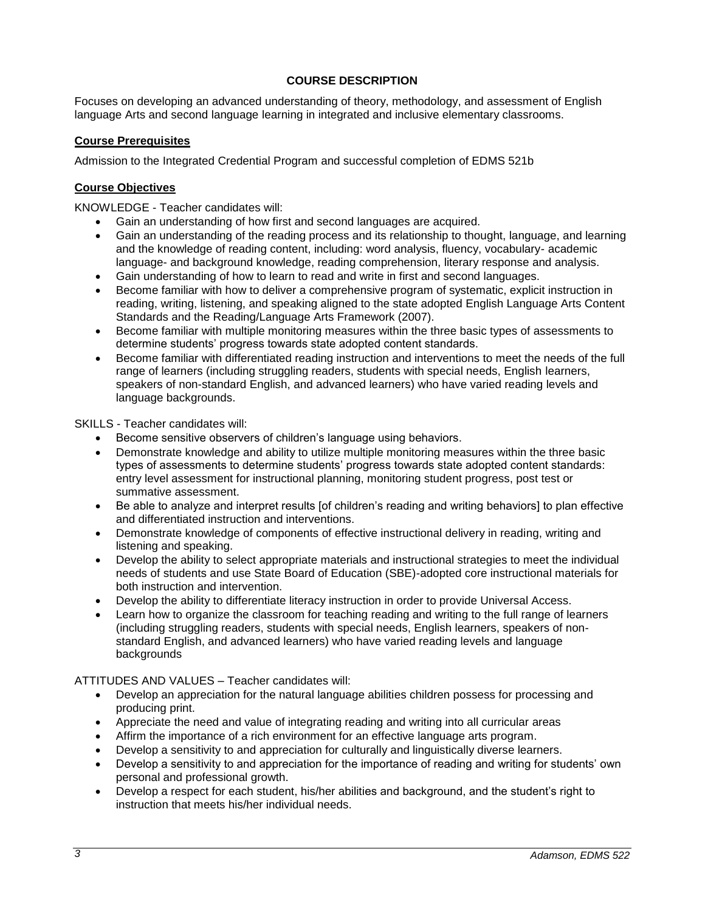## **COURSE DESCRIPTION**

<span id="page-2-0"></span>Focuses on developing an advanced understanding of theory, methodology, and assessment of English language Arts and second language learning in integrated and inclusive elementary classrooms.

### <span id="page-2-1"></span>**Course Prerequisites**

Admission to the Integrated Credential Program and successful completion of EDMS 521b

### <span id="page-2-2"></span>**Course Objectives**

KNOWLEDGE - Teacher candidates will:

- Gain an understanding of how first and second languages are acquired.
- Gain an understanding of the reading process and its relationship to thought, language, and learning and the knowledge of reading content, including: word analysis, fluency, vocabulary- academic language- and background knowledge, reading comprehension, literary response and analysis.
- Gain understanding of how to learn to read and write in first and second languages.
- Become familiar with how to deliver a comprehensive program of systematic, explicit instruction in reading, writing, listening, and speaking aligned to the state adopted English Language Arts Content Standards and the Reading/Language Arts Framework (2007).
- Become familiar with multiple monitoring measures within the three basic types of assessments to determine students' progress towards state adopted content standards.
- Become familiar with differentiated reading instruction and interventions to meet the needs of the full range of learners (including struggling readers, students with special needs, English learners, speakers of non-standard English, and advanced learners) who have varied reading levels and language backgrounds.

SKILLS - Teacher candidates will:

- Become sensitive observers of children's language using behaviors.
- Demonstrate knowledge and ability to utilize multiple monitoring measures within the three basic types of assessments to determine students' progress towards state adopted content standards: entry level assessment for instructional planning, monitoring student progress, post test or summative assessment.
- Be able to analyze and interpret results [of children's reading and writing behaviors] to plan effective and differentiated instruction and interventions.
- Demonstrate knowledge of components of effective instructional delivery in reading, writing and listening and speaking.
- Develop the ability to select appropriate materials and instructional strategies to meet the individual needs of students and use State Board of Education (SBE)-adopted core instructional materials for both instruction and intervention.
- Develop the ability to differentiate literacy instruction in order to provide Universal Access.
- Learn how to organize the classroom for teaching reading and writing to the full range of learners (including struggling readers, students with special needs, English learners, speakers of nonstandard English, and advanced learners) who have varied reading levels and language backgrounds

ATTITUDES AND VALUES – Teacher candidates will:

- Develop an appreciation for the natural language abilities children possess for processing and producing print.
- Appreciate the need and value of integrating reading and writing into all curricular areas
- Affirm the importance of a rich environment for an effective language arts program.
- Develop a sensitivity to and appreciation for culturally and linguistically diverse learners.
- Develop a sensitivity to and appreciation for the importance of reading and writing for students' own personal and professional growth.
- Develop a respect for each student, his/her abilities and background, and the student's right to instruction that meets his/her individual needs.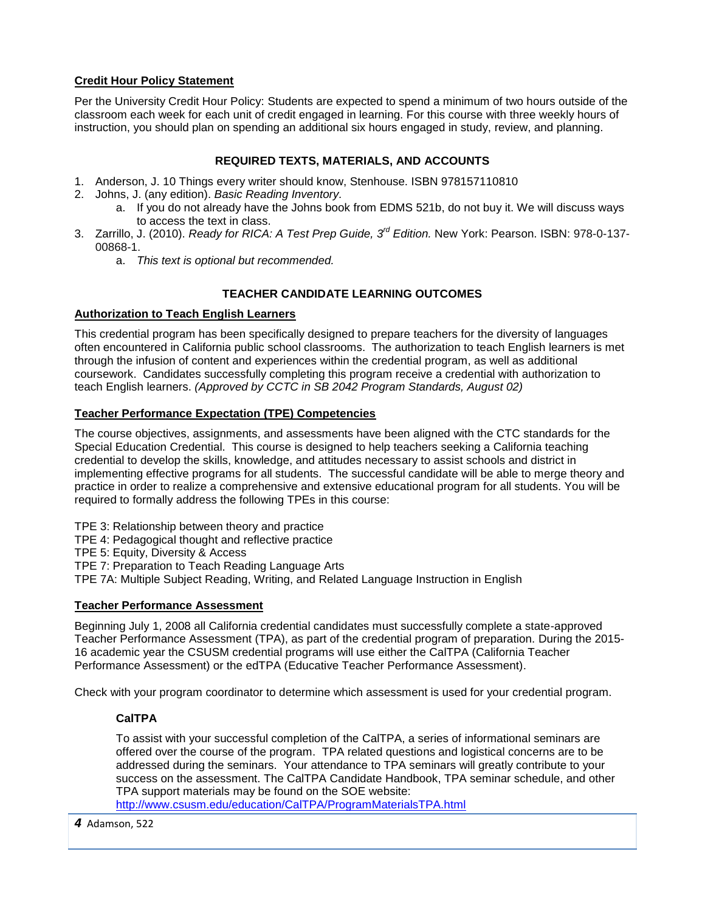## <span id="page-3-0"></span>**Credit Hour Policy Statement**

Per the University Credit Hour Policy: Students are expected to spend a minimum of two hours outside of the classroom each week for each unit of credit engaged in learning. For this course with three weekly hours of instruction, you should plan on spending an additional six hours engaged in study, review, and planning.

## **REQUIRED TEXTS, MATERIALS, AND ACCOUNTS**

- <span id="page-3-1"></span>1. Anderson, J. 10 Things every writer should know, Stenhouse. ISBN 978157110810
- 2. Johns, J. (any edition). *Basic Reading Inventory.*
	- a. If you do not already have the Johns book from EDMS 521b, do not buy it. We will discuss ways to access the text in class.
- 3. Zarrillo, J. (2010). *Ready for RICA: A Test Prep Guide, 3rd Edition.* New York: Pearson. ISBN: 978-0-137- 00868-1.
	- a. *This text is optional but recommended.*

## **TEACHER CANDIDATE LEARNING OUTCOMES**

### <span id="page-3-3"></span><span id="page-3-2"></span>**Authorization to Teach English Learners**

This credential program has been specifically designed to prepare teachers for the diversity of languages often encountered in California public school classrooms. The authorization to teach English learners is met through the infusion of content and experiences within the credential program, as well as additional coursework. Candidates successfully completing this program receive a credential with authorization to teach English learners. *(Approved by CCTC in SB 2042 Program Standards, August 02)*

## <span id="page-3-4"></span>**Teacher Performance Expectation (TPE) Competencies**

The course objectives, assignments, and assessments have been aligned with the CTC standards for the Special Education Credential. This course is designed to help teachers seeking a California teaching credential to develop the skills, knowledge, and attitudes necessary to assist schools and district in implementing effective programs for all students. The successful candidate will be able to merge theory and practice in order to realize a comprehensive and extensive educational program for all students. You will be required to formally address the following TPEs in this course:

- TPE 3: Relationship between theory and practice
- TPE 4: Pedagogical thought and reflective practice
- TPE 5: Equity, Diversity & Access
- TPE 7: Preparation to Teach Reading Language Arts
- TPE 7A: Multiple Subject Reading, Writing, and Related Language Instruction in English

## <span id="page-3-5"></span>**Teacher Performance Assessment**

Beginning July 1, 2008 all California credential candidates must successfully complete a state-approved Teacher Performance Assessment (TPA), as part of the credential program of preparation. During the 2015- 16 academic year the CSUSM credential programs will use either the CalTPA (California Teacher Performance Assessment) or the edTPA (Educative Teacher Performance Assessment).

<span id="page-3-6"></span>Check with your program coordinator to determine which assessment is used for your credential program.

## **CalTPA**

To assist with your successful completion of the CalTPA, a series of informational seminars are offered over the course of the program. TPA related questions and logistical concerns are to be addressed during the seminars. Your attendance to TPA seminars will greatly contribute to your success on the assessment. The CalTPA Candidate Handbook, TPA seminar schedule, and other TPA support materials may be found on the SOE website:

<http://www.csusm.edu/education/CalTPA/ProgramMaterialsTPA.html>

*4* Adamson, 522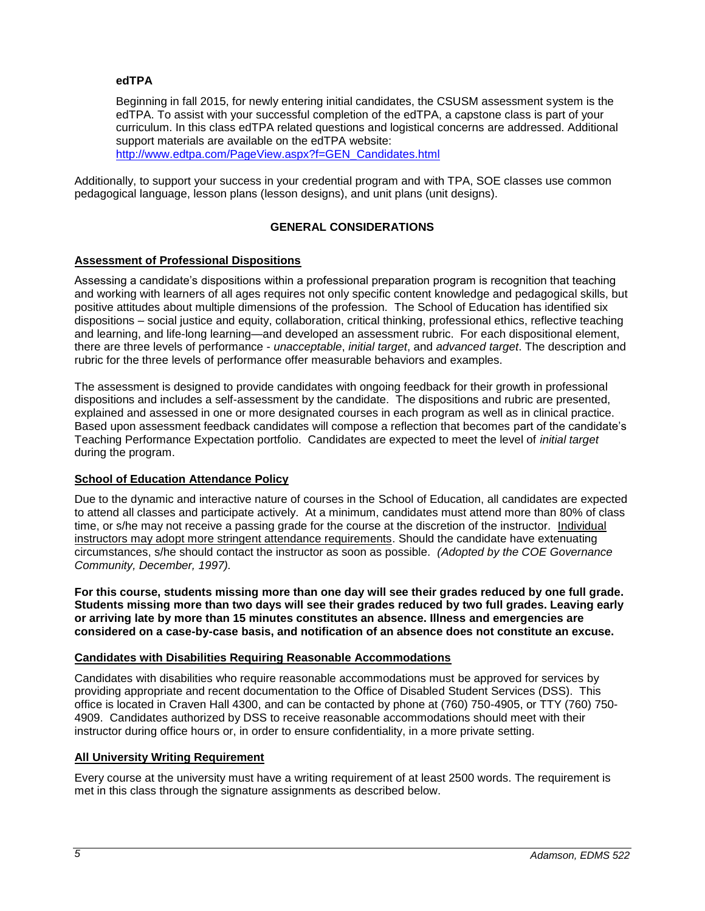### <span id="page-4-0"></span>**edTPA**

Beginning in fall 2015, for newly entering initial candidates, the CSUSM assessment system is the edTPA. To assist with your successful completion of the edTPA, a capstone class is part of your curriculum. In this class edTPA related questions and logistical concerns are addressed. Additional support materials are available on the edTPA website: [http://www.edtpa.com/PageView.aspx?f=GEN\\_Candidates.html](http://www.edtpa.com/PageView.aspx?f=GEN_Candidates.html)

<span id="page-4-1"></span>Additionally, to support your success in your credential program and with TPA, SOE classes use common pedagogical language, lesson plans (lesson designs), and unit plans (unit designs).

### **GENERAL CONSIDERATIONS**

### <span id="page-4-2"></span>**Assessment of Professional Dispositions**

Assessing a candidate's dispositions within a professional preparation program is recognition that teaching and working with learners of all ages requires not only specific content knowledge and pedagogical skills, but positive attitudes about multiple dimensions of the profession. The School of Education has identified six dispositions – social justice and equity, collaboration, critical thinking, professional ethics, reflective teaching and learning, and life-long learning—and developed an assessment rubric. For each dispositional element, there are three levels of performance - *unacceptable*, *initial target*, and *advanced target*. The description and rubric for the three levels of performance offer measurable behaviors and examples.

The assessment is designed to provide candidates with ongoing feedback for their growth in professional dispositions and includes a self-assessment by the candidate. The dispositions and rubric are presented, explained and assessed in one or more designated courses in each program as well as in clinical practice. Based upon assessment feedback candidates will compose a reflection that becomes part of the candidate's Teaching Performance Expectation portfolio. Candidates are expected to meet the level of *initial target* during the program.

#### <span id="page-4-3"></span>**School of Education Attendance Policy**

Due to the dynamic and interactive nature of courses in the School of Education, all candidates are expected to attend all classes and participate actively. At a minimum, candidates must attend more than 80% of class time, or s/he may not receive a passing grade for the course at the discretion of the instructor. Individual instructors may adopt more stringent attendance requirements. Should the candidate have extenuating circumstances, s/he should contact the instructor as soon as possible. *(Adopted by the COE Governance Community, December, 1997).*

**For this course, students missing more than one day will see their grades reduced by one full grade. Students missing more than two days will see their grades reduced by two full grades. Leaving early or arriving late by more than 15 minutes constitutes an absence. Illness and emergencies are considered on a case-by-case basis, and notification of an absence does not constitute an excuse.**

#### <span id="page-4-4"></span>**Candidates with Disabilities Requiring Reasonable Accommodations**

Candidates with disabilities who require reasonable accommodations must be approved for services by providing appropriate and recent documentation to the Office of Disabled Student Services (DSS). This office is located in Craven Hall 4300, and can be contacted by phone at (760) 750-4905, or TTY (760) 750- 4909. Candidates authorized by DSS to receive reasonable accommodations should meet with their instructor during office hours or, in order to ensure confidentiality, in a more private setting.

#### <span id="page-4-5"></span>**All University Writing Requirement**

Every course at the university must have a writing requirement of at least 2500 words. The requirement is met in this class through the signature assignments as described below.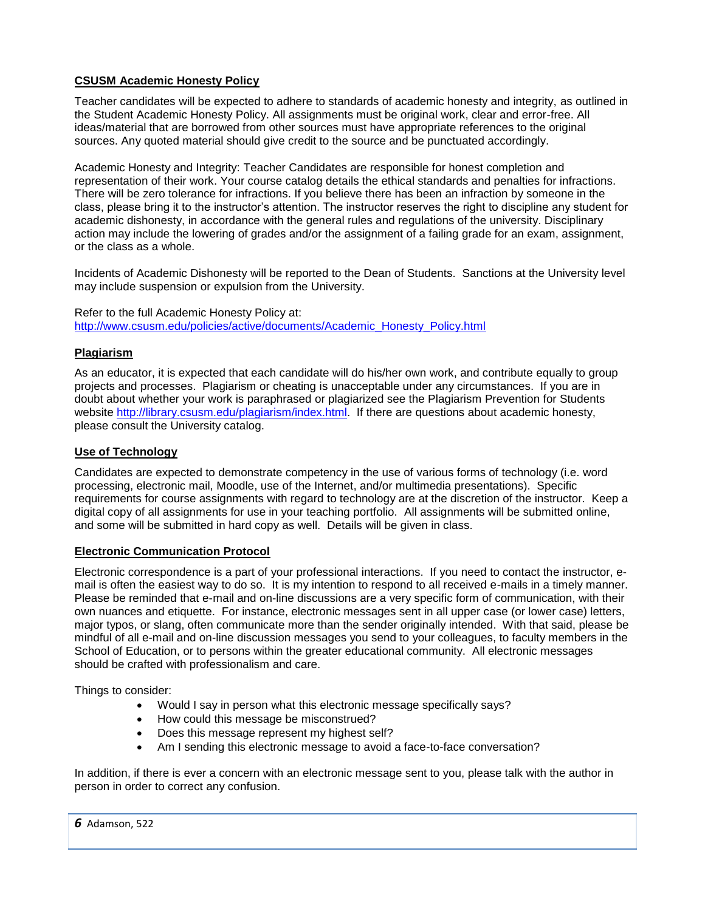## <span id="page-5-0"></span>**CSUSM Academic Honesty Policy**

Teacher candidates will be expected to adhere to standards of academic honesty and integrity, as outlined in the Student Academic Honesty Policy. All assignments must be original work, clear and error-free. All ideas/material that are borrowed from other sources must have appropriate references to the original sources. Any quoted material should give credit to the source and be punctuated accordingly.

Academic Honesty and Integrity: Teacher Candidates are responsible for honest completion and representation of their work. Your course catalog details the ethical standards and penalties for infractions. There will be zero tolerance for infractions. If you believe there has been an infraction by someone in the class, please bring it to the instructor's attention. The instructor reserves the right to discipline any student for academic dishonesty, in accordance with the general rules and regulations of the university. Disciplinary action may include the lowering of grades and/or the assignment of a failing grade for an exam, assignment, or the class as a whole.

Incidents of Academic Dishonesty will be reported to the Dean of Students. Sanctions at the University level may include suspension or expulsion from the University.

Refer to the full Academic Honesty Policy at: [http://www.csusm.edu/policies/active/documents/Academic\\_Honesty\\_Policy.html](http://www.csusm.edu/policies/active/documents/Academic_Honesty_Policy.html)

### <span id="page-5-1"></span>**Plagiarism**

As an educator, it is expected that each candidate will do his/her own work, and contribute equally to group projects and processes. Plagiarism or cheating is unacceptable under any circumstances. If you are in doubt about whether your work is paraphrased or plagiarized see the Plagiarism Prevention for Students website [http://library.csusm.edu/plagiarism/index.html.](http://library.csusm.edu/plagiarism/index.html) If there are questions about academic honesty, please consult the University catalog.

### <span id="page-5-2"></span>**Use of Technology**

Candidates are expected to demonstrate competency in the use of various forms of technology (i.e. word processing, electronic mail, Moodle, use of the Internet, and/or multimedia presentations). Specific requirements for course assignments with regard to technology are at the discretion of the instructor. Keep a digital copy of all assignments for use in your teaching portfolio. All assignments will be submitted online, and some will be submitted in hard copy as well. Details will be given in class.

#### <span id="page-5-3"></span>**Electronic Communication Protocol**

Electronic correspondence is a part of your professional interactions. If you need to contact the instructor, email is often the easiest way to do so. It is my intention to respond to all received e-mails in a timely manner. Please be reminded that e-mail and on-line discussions are a very specific form of communication, with their own nuances and etiquette. For instance, electronic messages sent in all upper case (or lower case) letters, major typos, or slang, often communicate more than the sender originally intended. With that said, please be mindful of all e-mail and on-line discussion messages you send to your colleagues, to faculty members in the School of Education, or to persons within the greater educational community. All electronic messages should be crafted with professionalism and care.

Things to consider:

- Would I say in person what this electronic message specifically says?
- How could this message be misconstrued?
- Does this message represent my highest self?
- Am I sending this electronic message to avoid a face-to-face conversation?

In addition, if there is ever a concern with an electronic message sent to you, please talk with the author in person in order to correct any confusion.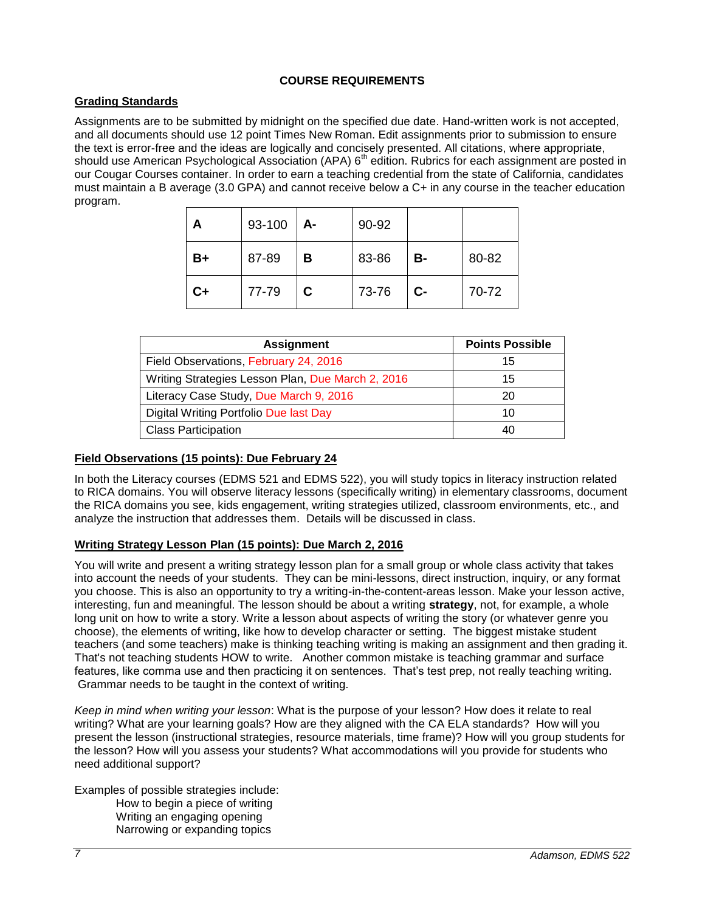## **COURSE REQUIREMENTS**

## <span id="page-6-1"></span><span id="page-6-0"></span>**Grading Standards**

Assignments are to be submitted by midnight on the specified due date. Hand-written work is not accepted, and all documents should use 12 point Times New Roman. Edit assignments prior to submission to ensure the text is error-free and the ideas are logically and concisely presented. All citations, where appropriate, should use American Psychological Association (APA) 6<sup>th</sup> edition. Rubrics for each assignment are posted in our Cougar Courses container. In order to earn a teaching credential from the state of California, candidates must maintain a B average (3.0 GPA) and cannot receive below a C+ in any course in the teacher education program.

| А    | 93-100 | $A-$ | 90-92 |      |       |
|------|--------|------|-------|------|-------|
| B+   | 87-89  | в    | 83-86 | B-   | 80-82 |
| $C+$ | 77-79  | C    | 73-76 | $C-$ | 70-72 |

| <b>Assignment</b>                                 | <b>Points Possible</b> |
|---------------------------------------------------|------------------------|
| Field Observations, February 24, 2016             | 15                     |
| Writing Strategies Lesson Plan, Due March 2, 2016 | 15                     |
| Literacy Case Study, Due March 9, 2016            | 20                     |
| Digital Writing Portfolio Due last Day            | 10                     |
| <b>Class Participation</b>                        | 40                     |

## <span id="page-6-2"></span>**Field Observations (15 points): Due February 24**

In both the Literacy courses (EDMS 521 and EDMS 522), you will study topics in literacy instruction related to RICA domains. You will observe literacy lessons (specifically writing) in elementary classrooms, document the RICA domains you see, kids engagement, writing strategies utilized, classroom environments, etc., and analyze the instruction that addresses them. Details will be discussed in class.

## <span id="page-6-3"></span>**Writing Strategy Lesson Plan (15 points): Due March 2, 2016**

You will write and present a writing strategy lesson plan for a small group or whole class activity that takes into account the needs of your students. They can be mini-lessons, direct instruction, inquiry, or any format you choose. This is also an opportunity to try a writing-in-the-content-areas lesson. Make your lesson active, interesting, fun and meaningful. The lesson should be about a writing **strategy**, not, for example, a whole long unit on how to write a story. Write a lesson about aspects of writing the story (or whatever genre you choose), the elements of writing, like how to develop character or setting. The biggest mistake student teachers (and some teachers) make is thinking teaching writing is making an assignment and then grading it. That's not teaching students HOW to write. Another common mistake is teaching grammar and surface features, like comma use and then practicing it on sentences. That's test prep, not really teaching writing. Grammar needs to be taught in the context of writing.

*Keep in mind when writing your lesson*: What is the purpose of your lesson? How does it relate to real writing? What are your learning goals? How are they aligned with the CA ELA standards? How will you present the lesson (instructional strategies, resource materials, time frame)? How will you group students for the lesson? How will you assess your students? What accommodations will you provide for students who need additional support?

Examples of possible strategies include: How to begin a piece of writing Writing an engaging opening Narrowing or expanding topics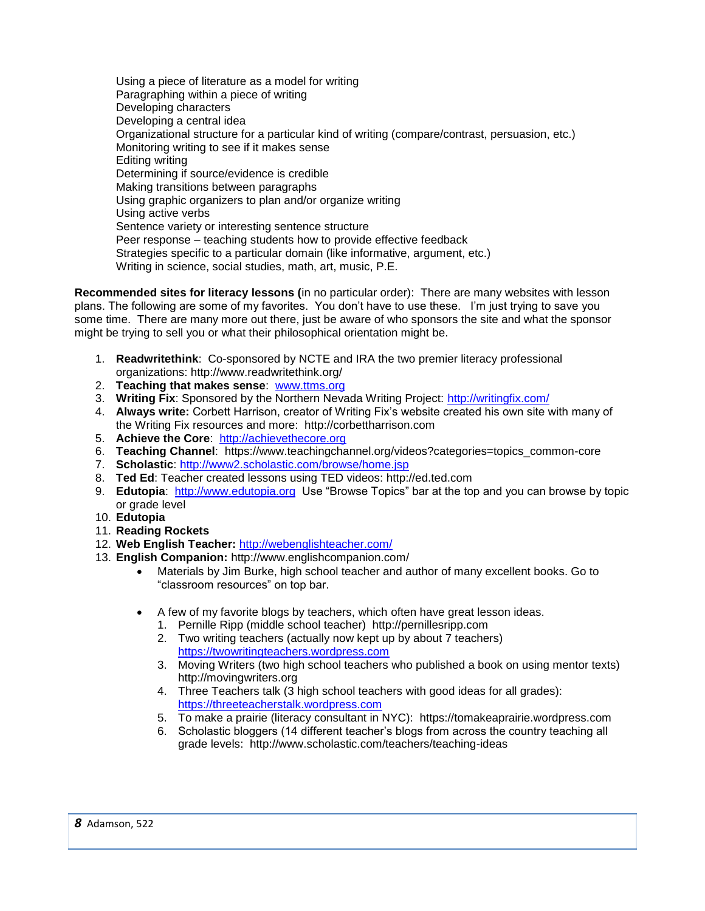Using a piece of literature as a model for writing Paragraphing within a piece of writing Developing characters Developing a central idea Organizational structure for a particular kind of writing (compare/contrast, persuasion, etc.) Monitoring writing to see if it makes sense Editing writing Determining if source/evidence is credible Making transitions between paragraphs Using graphic organizers to plan and/or organize writing Using active verbs Sentence variety or interesting sentence structure Peer response – teaching students how to provide effective feedback Strategies specific to a particular domain (like informative, argument, etc.) Writing in science, social studies, math, art, music, P.E.

**Recommended sites for literacy lessons (**in no particular order): There are many websites with lesson plans. The following are some of my favorites. You don't have to use these. I'm just trying to save you some time. There are many more out there, just be aware of who sponsors the site and what the sponsor might be trying to sell you or what their philosophical orientation might be.

- 1. **Readwritethink**: Co-sponsored by NCTE and IRA the two premier literacy professional organizations: http://www.readwritethink.org/
- 2. **Teaching that makes sense**: [www.ttms.org](http://www.ttms.org/)
- 3. **Writing Fix**: Sponsored by the Northern Nevada Writing Project:<http://writingfix.com/>
- 4. **Always write:** Corbett Harrison, creator of Writing Fix's website created his own site with many of the Writing Fix resources and more: http://corbettharrison.com
- 5. **Achieve the Core**: [http://achievethecore.org](http://achievethecore.org/)
- 6. **Teaching Channel**: https://www.teachingchannel.org/videos?categories=topics\_common-core
- 7. **Scholastic**:<http://www2.scholastic.com/browse/home.jsp>
- 8. **Ted Ed**: Teacher created lessons using TED videos: http://ed.ted.com
- 9. **Edutopia**: [http://www.edutopia.org](http://www.edutopia.org/) Use "Browse Topics" bar at the top and you can browse by topic or grade level
- 10. **Edutopia**
- 11. **Reading Rockets**
- 12. **Web English Teacher:** <http://webenglishteacher.com/>
- 13. **English Companion:** http://www.englishcompanion.com/
	- Materials by Jim Burke, high school teacher and author of many excellent books. Go to "classroom resources" on top bar.
	- A few of my favorite blogs by teachers, which often have great lesson ideas.
		- 1. Pernille Ripp (middle school teacher) http://pernillesripp.com
		- 2. Two writing teachers (actually now kept up by about 7 teachers) [https://twowritingteachers.wordpress.com](https://twowritingteachers.wordpress.com/)
		- 3. Moving Writers (two high school teachers who published a book on using mentor texts) http://movingwriters.org
		- 4. Three Teachers talk (3 high school teachers with good ideas for all grades): [https://threeteacherstalk.wordpress.com](https://threeteacherstalk.wordpress.com/)
		- 5. To make a prairie (literacy consultant in NYC): https://tomakeaprairie.wordpress.com
		- 6. Scholastic bloggers (14 different teacher's blogs from across the country teaching all grade levels: http://www.scholastic.com/teachers/teaching-ideas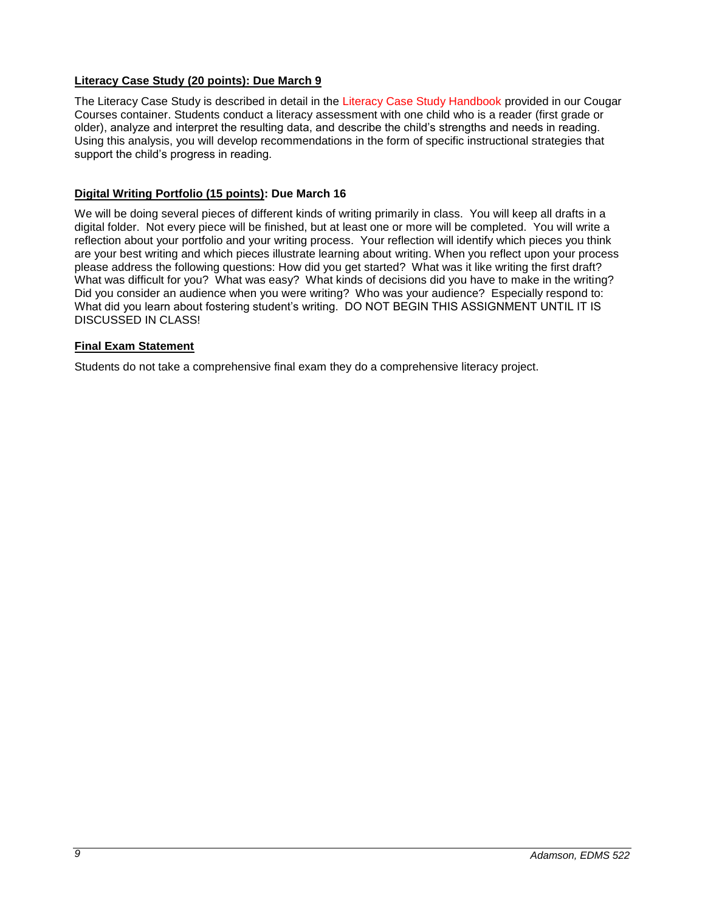## <span id="page-8-0"></span>**Literacy Case Study (20 points): Due March 9**

The Literacy Case Study is described in detail in the Literacy Case Study Handbook provided in our Cougar Courses container. Students conduct a literacy assessment with one child who is a reader (first grade or older), analyze and interpret the resulting data, and describe the child's strengths and needs in reading. Using this analysis, you will develop recommendations in the form of specific instructional strategies that support the child's progress in reading.

## <span id="page-8-1"></span>**Digital Writing Portfolio (15 points): Due March 16**

We will be doing several pieces of different kinds of writing primarily in class. You will keep all drafts in a digital folder. Not every piece will be finished, but at least one or more will be completed. You will write a reflection about your portfolio and your writing process. Your reflection will identify which pieces you think are your best writing and which pieces illustrate learning about writing. When you reflect upon your process please address the following questions: How did you get started? What was it like writing the first draft? What was difficult for you? What was easy? What kinds of decisions did you have to make in the writing? Did you consider an audience when you were writing? Who was your audience? Especially respond to: What did you learn about fostering student's writing. DO NOT BEGIN THIS ASSIGNMENT UNTIL IT IS DISCUSSED IN CLASS!

## <span id="page-8-2"></span>**Final Exam Statement**

Students do not take a comprehensive final exam they do a comprehensive literacy project.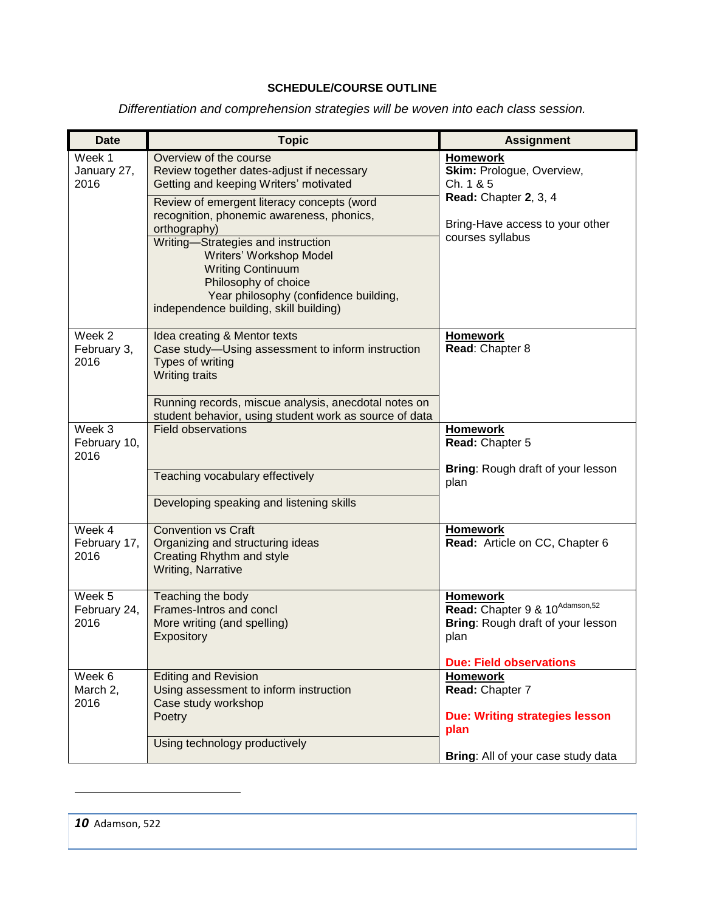# **SCHEDULE/COURSE OUTLINE**

*Differentiation and comprehension strategies will be woven into each class session.*

<span id="page-9-0"></span>

| <b>Date</b>                    | <b>Topic</b>                                                                                                                                                                                                                                                                                                                                                                                                                     | <b>Assignment</b>                                                                                                                            |
|--------------------------------|----------------------------------------------------------------------------------------------------------------------------------------------------------------------------------------------------------------------------------------------------------------------------------------------------------------------------------------------------------------------------------------------------------------------------------|----------------------------------------------------------------------------------------------------------------------------------------------|
| Week 1<br>January 27,<br>2016  | Overview of the course<br>Review together dates-adjust if necessary<br>Getting and keeping Writers' motivated<br>Review of emergent literacy concepts (word<br>recognition, phonemic awareness, phonics,<br>orthography)<br>Writing-Strategies and instruction<br>Writers' Workshop Model<br><b>Writing Continuum</b><br>Philosophy of choice<br>Year philosophy (confidence building,<br>independence building, skill building) | <b>Homework</b><br>Skim: Prologue, Overview,<br>Ch. 1 & 5<br>Read: Chapter 2, 3, 4<br>Bring-Have access to your other<br>courses syllabus    |
| Week 2<br>February 3,<br>2016  | Idea creating & Mentor texts<br>Case study-Using assessment to inform instruction<br>Types of writing<br><b>Writing traits</b><br>Running records, miscue analysis, anecdotal notes on<br>student behavior, using student work as source of data                                                                                                                                                                                 | <b>Homework</b><br>Read: Chapter 8                                                                                                           |
| Week 3<br>February 10,<br>2016 | <b>Field observations</b><br>Teaching vocabulary effectively<br>Developing speaking and listening skills                                                                                                                                                                                                                                                                                                                         | <b>Homework</b><br>Read: Chapter 5<br>Bring: Rough draft of your lesson<br>plan                                                              |
| Week 4<br>February 17,<br>2016 | <b>Convention vs Craft</b><br>Organizing and structuring ideas<br>Creating Rhythm and style<br>Writing, Narrative                                                                                                                                                                                                                                                                                                                | <b>Homework</b><br>Read: Article on CC, Chapter 6                                                                                            |
| Week 5<br>February 24,<br>2016 | Teaching the body<br>Frames-Intros and concl<br>More writing (and spelling)<br>Expository                                                                                                                                                                                                                                                                                                                                        | <b>Homework</b><br>Read: Chapter 9 & 10 <sup>Adamson,52</sup><br>Bring: Rough draft of your lesson<br>plan<br><b>Due: Field observations</b> |
| Week 6<br>March 2,<br>2016     | <b>Editing and Revision</b><br>Using assessment to inform instruction<br>Case study workshop<br>Poetry<br>Using technology productively                                                                                                                                                                                                                                                                                          | <b>Homework</b><br>Read: Chapter 7<br><b>Due: Writing strategies lesson</b><br>plan<br>Bring: All of your case study data                    |

l